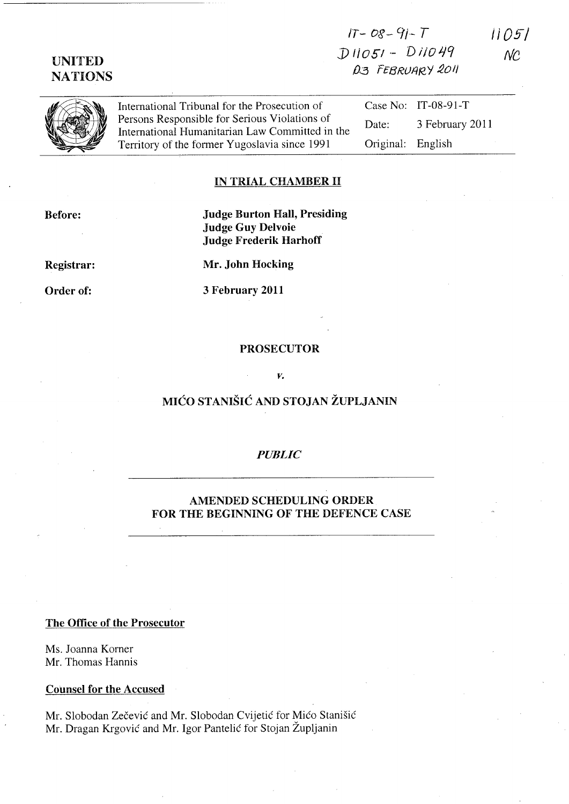# $1T - 08 - 91 - T$  $D11051 - D11049$ D3 FEBRUARY 2011

11051  $NC$ 

**UNITED** 

**NATIONS** 

International Tribunal for the Prosecution of Persons Responsible for Serious Violations of Date: International Humanitarian Law Committed in the Territory of the former Yugoslavia since 1991

## Case No: IT-08-91-T 3 February 2011 Original: English

### IN TRIAL CHAMBER II

**Before:** 

**Judge Burton Hall, Presiding Judge Guy Delvoie Judge Frederik Harhoff** 

Mr. John Hocking

3 February 2011

**Registrar:** 

Order of:

**PROSECUTOR** 

#### V.

## MIĆO STANIŠIĆ AND STOJAN ŽUPLJANIN

### **PUBLIC**

## **AMENDED SCHEDULING ORDER** FOR THE BEGINNING OF THE DEFENCE CASE

The Office of the Prosecutor

Ms. Joanna Korner Mr. Thomas Hannis

**Counsel for the Accused** 

Mr. Slobodan Zečević and Mr. Slobodan Cvijetić for Mićo Stanišić Mr. Dragan Krgović and Mr. Igor Pantelić for Stojan Župljanin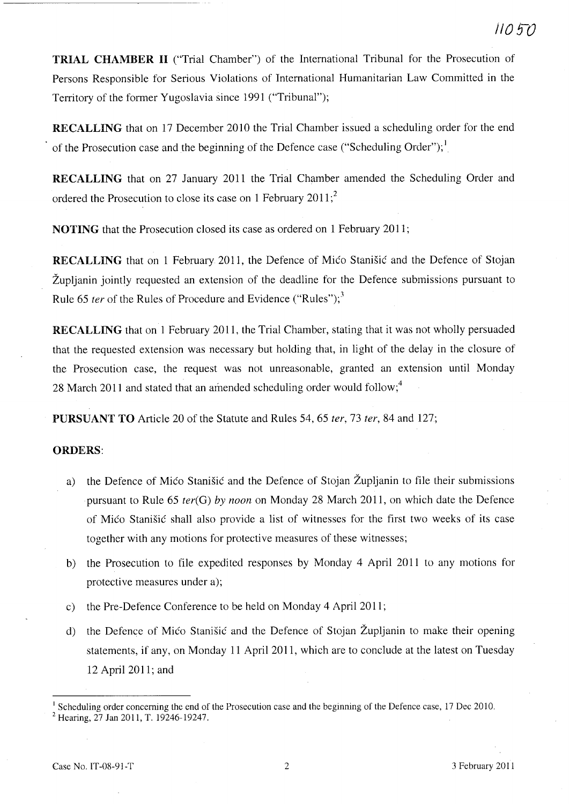TRIAL CHAMBER II ("Trial Chamber") of the International Tribunal for the Prosecution of Persons Responsible for Serious Violations of International Humanitarian Law Committed in the Territory of the former Yugoslavia since 1991 ("Tribunal");

RECALLING that on 17 December 2010 the Trial Chamber issued a scheduling order for the end of the Prosecution case and the beginning of the Defence case ("Scheduling Order");  $\frac{1}{2}$ 

RECALLING that on 27 January 2011 the Trial Chamber amended the Scheduling Order and ordered the Prosecution to close its case on 1 February 2011;<sup>2</sup>

NOTING that the Prosecution closed its case as ordered on 1 February 2011;

RECALLING that on 1 February 2011, the Defence of Mico Stanisic and the Defence of Stojan Zupljanin jointly requested an extension of the deadline for the Defence submissions pursuant to Rule 65 *ter* of the Rules of Procedure and Evidence ("Rules");<sup>3</sup>

RECALLING that on 1 February 2011, the Trial Chamber, stating that it was not wholly persuaded that the requested extension was necessary but holding that, in light of the delay in the closure of the Prosecution case, the request was not unreasonable, granted an extension until Monday 28 March 2011 and stated that an amended scheduling order would follow;<sup>4</sup>

PURSUANT TO Article 20 of the Statute and Rules 54, 65 *ter,* 73 *ter,* 84 and 127;

### ORDERS:

- a) the Defence of Mico Stanisic and the Defence of Stojan Zupljanin to file their submissions pursuant to Rule 65 *ter(G) by noon* on Monday 28 March 2011, on which date the Defence of MiCo Stanisic shall also provide a list of witnesses for the first two weeks of its case together with any motions for protective measures of these witnesses;
- b) the Prosecution to file expedited responses by Monday 4 April 2011 to any motions for protective measures under a);
- c) the Pre-Defence Conference to be held on Monday 4 April 2011;
- d) the Defence of Mico Stanisic and the Defence of Stojan Zupljanin to make their opening statements, if any, on Monday 11 April 2011, which are to conclude at the latest on Tuesday 12 April 2011; and

<sup>&</sup>lt;sup>1</sup> Scheduling order concerning the end of the Prosecution case and the beginning of the Defence case, 17 Dec 2010. 2 Hearing, 27 Jan 2011, T. 19246-19247.